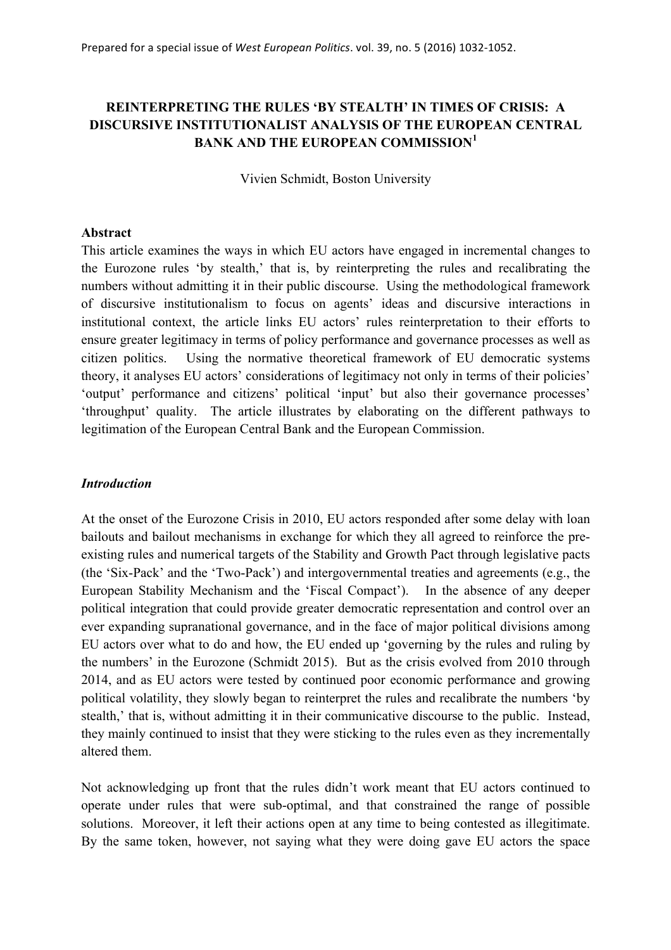# **REINTERPRETING THE RULES 'BY STEALTH' IN TIMES OF CRISIS: A DISCURSIVE INSTITUTIONALIST ANALYSIS OF THE EUROPEAN CENTRAL BANK AND THE EUROPEAN COMMISSION<sup>1</sup>**

Vivien Schmidt, Boston University

## **Abstract**

This article examines the ways in which EU actors have engaged in incremental changes to the Eurozone rules 'by stealth,' that is, by reinterpreting the rules and recalibrating the numbers without admitting it in their public discourse. Using the methodological framework of discursive institutionalism to focus on agents' ideas and discursive interactions in institutional context, the article links EU actors' rules reinterpretation to their efforts to ensure greater legitimacy in terms of policy performance and governance processes as well as citizen politics. Using the normative theoretical framework of EU democratic systems theory, it analyses EU actors' considerations of legitimacy not only in terms of their policies' 'output' performance and citizens' political 'input' but also their governance processes' 'throughput' quality. The article illustrates by elaborating on the different pathways to legitimation of the European Central Bank and the European Commission.

# *Introduction*

At the onset of the Eurozone Crisis in 2010, EU actors responded after some delay with loan bailouts and bailout mechanisms in exchange for which they all agreed to reinforce the preexisting rules and numerical targets of the Stability and Growth Pact through legislative pacts (the 'Six-Pack' and the 'Two-Pack') and intergovernmental treaties and agreements (e.g., the European Stability Mechanism and the 'Fiscal Compact'). In the absence of any deeper political integration that could provide greater democratic representation and control over an ever expanding supranational governance, and in the face of major political divisions among EU actors over what to do and how, the EU ended up 'governing by the rules and ruling by the numbers' in the Eurozone (Schmidt 2015). But as the crisis evolved from 2010 through 2014, and as EU actors were tested by continued poor economic performance and growing political volatility, they slowly began to reinterpret the rules and recalibrate the numbers 'by stealth,' that is, without admitting it in their communicative discourse to the public. Instead, they mainly continued to insist that they were sticking to the rules even as they incrementally altered them.

Not acknowledging up front that the rules didn't work meant that EU actors continued to operate under rules that were sub-optimal, and that constrained the range of possible solutions. Moreover, it left their actions open at any time to being contested as illegitimate. By the same token, however, not saying what they were doing gave EU actors the space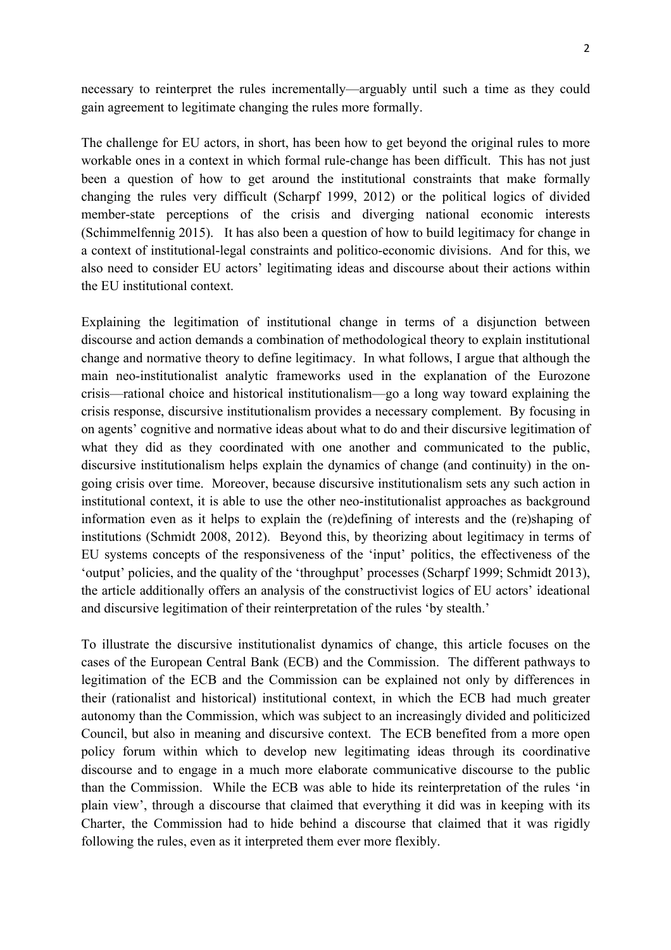necessary to reinterpret the rules incrementally—arguably until such a time as they could gain agreement to legitimate changing the rules more formally.

The challenge for EU actors, in short, has been how to get beyond the original rules to more workable ones in a context in which formal rule-change has been difficult. This has not just been a question of how to get around the institutional constraints that make formally changing the rules very difficult (Scharpf 1999, 2012) or the political logics of divided member-state perceptions of the crisis and diverging national economic interests (Schimmelfennig 2015). It has also been a question of how to build legitimacy for change in a context of institutional-legal constraints and politico-economic divisions. And for this, we also need to consider EU actors' legitimating ideas and discourse about their actions within the EU institutional context.

Explaining the legitimation of institutional change in terms of a disjunction between discourse and action demands a combination of methodological theory to explain institutional change and normative theory to define legitimacy. In what follows, I argue that although the main neo-institutionalist analytic frameworks used in the explanation of the Eurozone crisis—rational choice and historical institutionalism—go a long way toward explaining the crisis response, discursive institutionalism provides a necessary complement. By focusing in on agents' cognitive and normative ideas about what to do and their discursive legitimation of what they did as they coordinated with one another and communicated to the public, discursive institutionalism helps explain the dynamics of change (and continuity) in the ongoing crisis over time. Moreover, because discursive institutionalism sets any such action in institutional context, it is able to use the other neo-institutionalist approaches as background information even as it helps to explain the (re)defining of interests and the (re)shaping of institutions (Schmidt 2008, 2012). Beyond this, by theorizing about legitimacy in terms of EU systems concepts of the responsiveness of the 'input' politics, the effectiveness of the 'output' policies, and the quality of the 'throughput' processes (Scharpf 1999; Schmidt 2013), the article additionally offers an analysis of the constructivist logics of EU actors' ideational and discursive legitimation of their reinterpretation of the rules 'by stealth.'

To illustrate the discursive institutionalist dynamics of change, this article focuses on the cases of the European Central Bank (ECB) and the Commission. The different pathways to legitimation of the ECB and the Commission can be explained not only by differences in their (rationalist and historical) institutional context, in which the ECB had much greater autonomy than the Commission, which was subject to an increasingly divided and politicized Council, but also in meaning and discursive context. The ECB benefited from a more open policy forum within which to develop new legitimating ideas through its coordinative discourse and to engage in a much more elaborate communicative discourse to the public than the Commission. While the ECB was able to hide its reinterpretation of the rules 'in plain view', through a discourse that claimed that everything it did was in keeping with its Charter, the Commission had to hide behind a discourse that claimed that it was rigidly following the rules, even as it interpreted them ever more flexibly.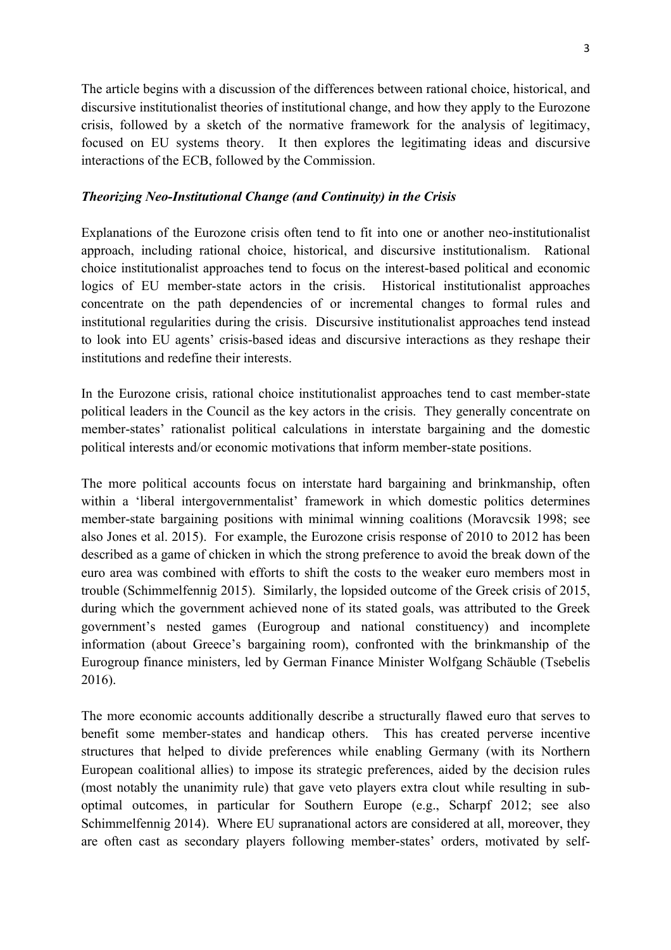The article begins with a discussion of the differences between rational choice, historical, and discursive institutionalist theories of institutional change, and how they apply to the Eurozone crisis, followed by a sketch of the normative framework for the analysis of legitimacy, focused on EU systems theory. It then explores the legitimating ideas and discursive interactions of the ECB, followed by the Commission.

## *Theorizing Neo-Institutional Change (and Continuity) in the Crisis*

Explanations of the Eurozone crisis often tend to fit into one or another neo-institutionalist approach, including rational choice, historical, and discursive institutionalism. Rational choice institutionalist approaches tend to focus on the interest-based political and economic logics of EU member-state actors in the crisis. Historical institutionalist approaches concentrate on the path dependencies of or incremental changes to formal rules and institutional regularities during the crisis. Discursive institutionalist approaches tend instead to look into EU agents' crisis-based ideas and discursive interactions as they reshape their institutions and redefine their interests.

In the Eurozone crisis, rational choice institutionalist approaches tend to cast member-state political leaders in the Council as the key actors in the crisis. They generally concentrate on member-states' rationalist political calculations in interstate bargaining and the domestic political interests and/or economic motivations that inform member-state positions.

The more political accounts focus on interstate hard bargaining and brinkmanship, often within a 'liberal intergovernmentalist' framework in which domestic politics determines member-state bargaining positions with minimal winning coalitions (Moravcsik 1998; see also Jones et al. 2015). For example, the Eurozone crisis response of 2010 to 2012 has been described as a game of chicken in which the strong preference to avoid the break down of the euro area was combined with efforts to shift the costs to the weaker euro members most in trouble (Schimmelfennig 2015). Similarly, the lopsided outcome of the Greek crisis of 2015, during which the government achieved none of its stated goals, was attributed to the Greek government's nested games (Eurogroup and national constituency) and incomplete information (about Greece's bargaining room), confronted with the brinkmanship of the Eurogroup finance ministers, led by German Finance Minister Wolfgang Schäuble (Tsebelis 2016).

The more economic accounts additionally describe a structurally flawed euro that serves to benefit some member-states and handicap others. This has created perverse incentive structures that helped to divide preferences while enabling Germany (with its Northern European coalitional allies) to impose its strategic preferences, aided by the decision rules (most notably the unanimity rule) that gave veto players extra clout while resulting in suboptimal outcomes, in particular for Southern Europe (e.g., Scharpf 2012; see also Schimmelfennig 2014). Where EU supranational actors are considered at all, moreover, they are often cast as secondary players following member-states' orders, motivated by self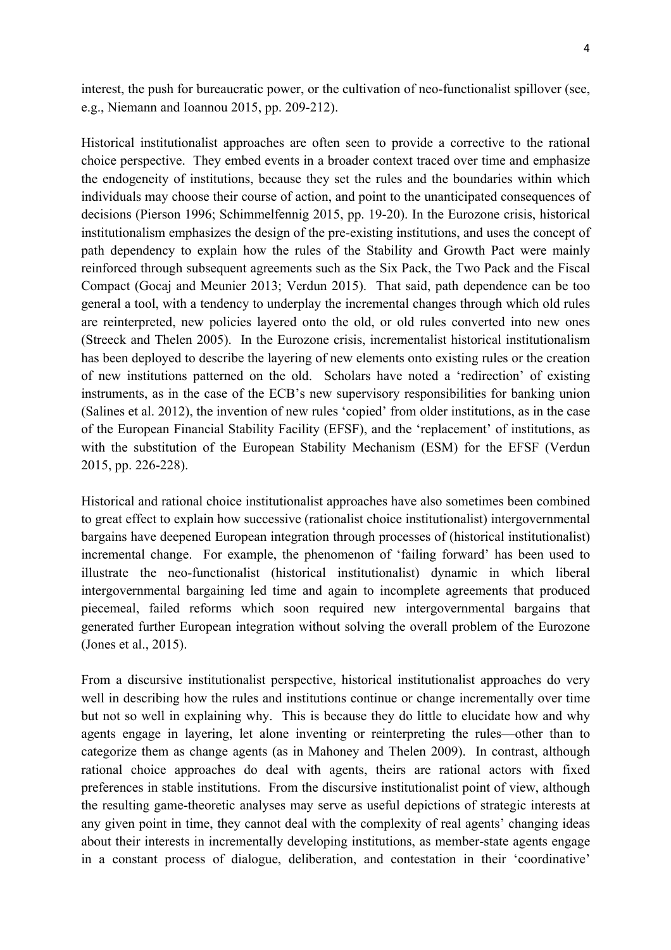interest, the push for bureaucratic power, or the cultivation of neo-functionalist spillover (see, e.g., Niemann and Ioannou 2015, pp. 209-212).

Historical institutionalist approaches are often seen to provide a corrective to the rational choice perspective. They embed events in a broader context traced over time and emphasize the endogeneity of institutions, because they set the rules and the boundaries within which individuals may choose their course of action, and point to the unanticipated consequences of decisions (Pierson 1996; Schimmelfennig 2015, pp. 19-20). In the Eurozone crisis, historical institutionalism emphasizes the design of the pre-existing institutions, and uses the concept of path dependency to explain how the rules of the Stability and Growth Pact were mainly reinforced through subsequent agreements such as the Six Pack, the Two Pack and the Fiscal Compact (Gocaj and Meunier 2013; Verdun 2015). That said, path dependence can be too general a tool, with a tendency to underplay the incremental changes through which old rules are reinterpreted, new policies layered onto the old, or old rules converted into new ones (Streeck and Thelen 2005). In the Eurozone crisis, incrementalist historical institutionalism has been deployed to describe the layering of new elements onto existing rules or the creation of new institutions patterned on the old. Scholars have noted a 'redirection' of existing instruments, as in the case of the ECB's new supervisory responsibilities for banking union (Salines et al. 2012), the invention of new rules 'copied' from older institutions, as in the case of the European Financial Stability Facility (EFSF), and the 'replacement' of institutions, as with the substitution of the European Stability Mechanism (ESM) for the EFSF (Verdun 2015, pp. 226-228).

Historical and rational choice institutionalist approaches have also sometimes been combined to great effect to explain how successive (rationalist choice institutionalist) intergovernmental bargains have deepened European integration through processes of (historical institutionalist) incremental change. For example, the phenomenon of 'failing forward' has been used to illustrate the neo-functionalist (historical institutionalist) dynamic in which liberal intergovernmental bargaining led time and again to incomplete agreements that produced piecemeal, failed reforms which soon required new intergovernmental bargains that generated further European integration without solving the overall problem of the Eurozone (Jones et al., 2015).

From a discursive institutionalist perspective, historical institutionalist approaches do very well in describing how the rules and institutions continue or change incrementally over time but not so well in explaining why. This is because they do little to elucidate how and why agents engage in layering, let alone inventing or reinterpreting the rules—other than to categorize them as change agents (as in Mahoney and Thelen 2009). In contrast, although rational choice approaches do deal with agents, theirs are rational actors with fixed preferences in stable institutions. From the discursive institutionalist point of view, although the resulting game-theoretic analyses may serve as useful depictions of strategic interests at any given point in time, they cannot deal with the complexity of real agents' changing ideas about their interests in incrementally developing institutions, as member-state agents engage in a constant process of dialogue, deliberation, and contestation in their 'coordinative'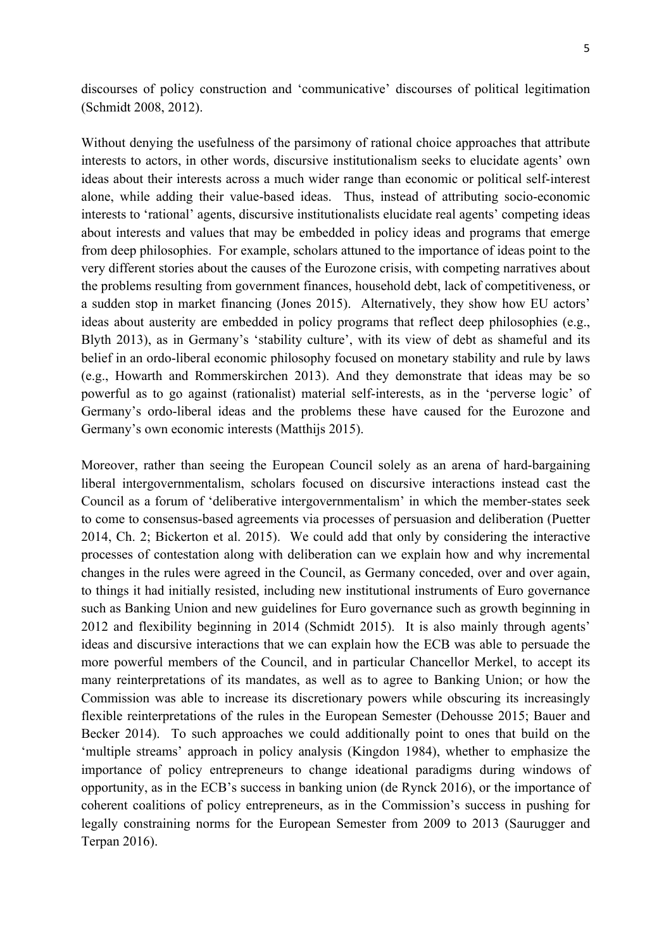discourses of policy construction and 'communicative' discourses of political legitimation (Schmidt 2008, 2012).

Without denying the usefulness of the parsimony of rational choice approaches that attribute interests to actors, in other words, discursive institutionalism seeks to elucidate agents' own ideas about their interests across a much wider range than economic or political self-interest alone, while adding their value-based ideas. Thus, instead of attributing socio-economic interests to 'rational' agents, discursive institutionalists elucidate real agents' competing ideas about interests and values that may be embedded in policy ideas and programs that emerge from deep philosophies. For example, scholars attuned to the importance of ideas point to the very different stories about the causes of the Eurozone crisis, with competing narratives about the problems resulting from government finances, household debt, lack of competitiveness, or a sudden stop in market financing (Jones 2015). Alternatively, they show how EU actors' ideas about austerity are embedded in policy programs that reflect deep philosophies (e.g., Blyth 2013), as in Germany's 'stability culture', with its view of debt as shameful and its belief in an ordo-liberal economic philosophy focused on monetary stability and rule by laws (e.g., Howarth and Rommerskirchen 2013). And they demonstrate that ideas may be so powerful as to go against (rationalist) material self-interests, as in the 'perverse logic' of Germany's ordo-liberal ideas and the problems these have caused for the Eurozone and Germany's own economic interests (Matthijs 2015).

Moreover, rather than seeing the European Council solely as an arena of hard-bargaining liberal intergovernmentalism, scholars focused on discursive interactions instead cast the Council as a forum of 'deliberative intergovernmentalism' in which the member-states seek to come to consensus-based agreements via processes of persuasion and deliberation (Puetter 2014, Ch. 2; Bickerton et al. 2015). We could add that only by considering the interactive processes of contestation along with deliberation can we explain how and why incremental changes in the rules were agreed in the Council, as Germany conceded, over and over again, to things it had initially resisted, including new institutional instruments of Euro governance such as Banking Union and new guidelines for Euro governance such as growth beginning in 2012 and flexibility beginning in 2014 (Schmidt 2015). It is also mainly through agents' ideas and discursive interactions that we can explain how the ECB was able to persuade the more powerful members of the Council, and in particular Chancellor Merkel, to accept its many reinterpretations of its mandates, as well as to agree to Banking Union; or how the Commission was able to increase its discretionary powers while obscuring its increasingly flexible reinterpretations of the rules in the European Semester (Dehousse 2015; Bauer and Becker 2014). To such approaches we could additionally point to ones that build on the 'multiple streams' approach in policy analysis (Kingdon 1984), whether to emphasize the importance of policy entrepreneurs to change ideational paradigms during windows of opportunity, as in the ECB's success in banking union (de Rynck 2016), or the importance of coherent coalitions of policy entrepreneurs, as in the Commission's success in pushing for legally constraining norms for the European Semester from 2009 to 2013 (Saurugger and Terpan 2016).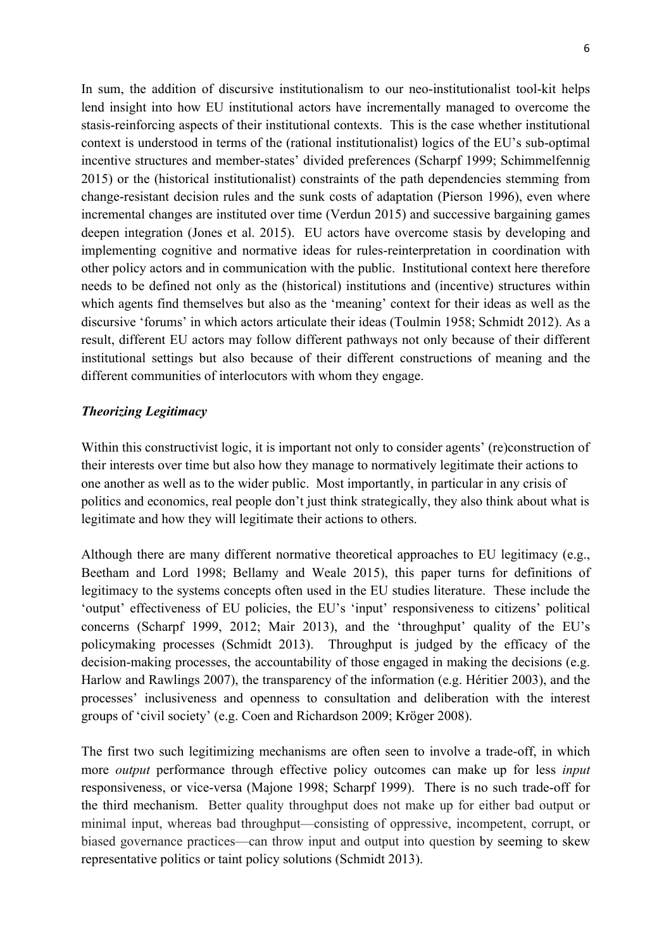In sum, the addition of discursive institutionalism to our neo-institutionalist tool-kit helps lend insight into how EU institutional actors have incrementally managed to overcome the stasis-reinforcing aspects of their institutional contexts. This is the case whether institutional context is understood in terms of the (rational institutionalist) logics of the EU's sub-optimal incentive structures and member-states' divided preferences (Scharpf 1999; Schimmelfennig 2015) or the (historical institutionalist) constraints of the path dependencies stemming from change-resistant decision rules and the sunk costs of adaptation (Pierson 1996), even where incremental changes are instituted over time (Verdun 2015) and successive bargaining games deepen integration (Jones et al. 2015). EU actors have overcome stasis by developing and implementing cognitive and normative ideas for rules-reinterpretation in coordination with other policy actors and in communication with the public. Institutional context here therefore needs to be defined not only as the (historical) institutions and (incentive) structures within which agents find themselves but also as the 'meaning' context for their ideas as well as the discursive 'forums' in which actors articulate their ideas (Toulmin 1958; Schmidt 2012). As a result, different EU actors may follow different pathways not only because of their different institutional settings but also because of their different constructions of meaning and the different communities of interlocutors with whom they engage.

# *Theorizing Legitimacy*

Within this constructivist logic, it is important not only to consider agents' (re)construction of their interests over time but also how they manage to normatively legitimate their actions to one another as well as to the wider public. Most importantly, in particular in any crisis of politics and economics, real people don't just think strategically, they also think about what is legitimate and how they will legitimate their actions to others.

Although there are many different normative theoretical approaches to EU legitimacy (e.g., Beetham and Lord 1998; Bellamy and Weale 2015), this paper turns for definitions of legitimacy to the systems concepts often used in the EU studies literature. These include the 'output' effectiveness of EU policies, the EU's 'input' responsiveness to citizens' political concerns (Scharpf 1999, 2012; Mair 2013), and the 'throughput' quality of the EU's policymaking processes (Schmidt 2013). Throughput is judged by the efficacy of the decision-making processes, the accountability of those engaged in making the decisions (e.g. Harlow and Rawlings 2007), the transparency of the information (e.g. Héritier 2003), and the processes' inclusiveness and openness to consultation and deliberation with the interest groups of 'civil society' (e.g. Coen and Richardson 2009; Kröger 2008).

The first two such legitimizing mechanisms are often seen to involve a trade-off, in which more *output* performance through effective policy outcomes can make up for less *input*  responsiveness, or vice-versa (Majone 1998; Scharpf 1999). There is no such trade-off for the third mechanism. Better quality throughput does not make up for either bad output or minimal input, whereas bad throughput—consisting of oppressive, incompetent, corrupt, or biased governance practices—can throw input and output into question by seeming to skew representative politics or taint policy solutions (Schmidt 2013).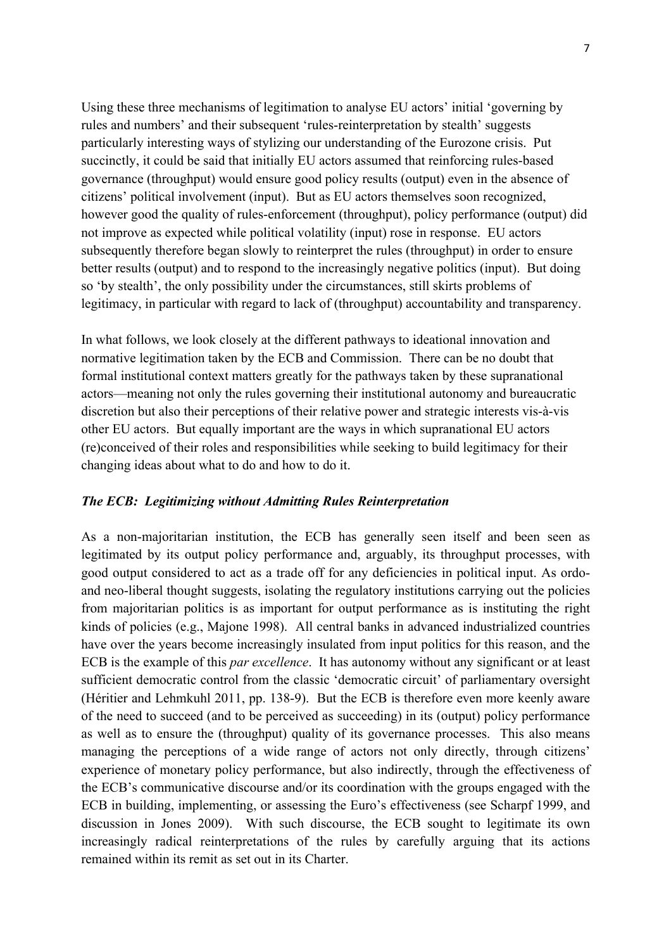Using these three mechanisms of legitimation to analyse EU actors' initial 'governing by rules and numbers' and their subsequent 'rules-reinterpretation by stealth' suggests particularly interesting ways of stylizing our understanding of the Eurozone crisis. Put succinctly, it could be said that initially EU actors assumed that reinforcing rules-based governance (throughput) would ensure good policy results (output) even in the absence of citizens' political involvement (input). But as EU actors themselves soon recognized, however good the quality of rules-enforcement (throughput), policy performance (output) did not improve as expected while political volatility (input) rose in response. EU actors subsequently therefore began slowly to reinterpret the rules (throughput) in order to ensure better results (output) and to respond to the increasingly negative politics (input). But doing so 'by stealth', the only possibility under the circumstances, still skirts problems of legitimacy, in particular with regard to lack of (throughput) accountability and transparency.

In what follows, we look closely at the different pathways to ideational innovation and normative legitimation taken by the ECB and Commission. There can be no doubt that formal institutional context matters greatly for the pathways taken by these supranational actors—meaning not only the rules governing their institutional autonomy and bureaucratic discretion but also their perceptions of their relative power and strategic interests vis-à-vis other EU actors. But equally important are the ways in which supranational EU actors (re)conceived of their roles and responsibilities while seeking to build legitimacy for their changing ideas about what to do and how to do it.

### *The ECB: Legitimizing without Admitting Rules Reinterpretation*

As a non-majoritarian institution, the ECB has generally seen itself and been seen as legitimated by its output policy performance and, arguably, its throughput processes, with good output considered to act as a trade off for any deficiencies in political input. As ordoand neo-liberal thought suggests, isolating the regulatory institutions carrying out the policies from majoritarian politics is as important for output performance as is instituting the right kinds of policies (e.g., Majone 1998). All central banks in advanced industrialized countries have over the years become increasingly insulated from input politics for this reason, and the ECB is the example of this *par excellence*. It has autonomy without any significant or at least sufficient democratic control from the classic 'democratic circuit' of parliamentary oversight (Héritier and Lehmkuhl 2011, pp. 138-9). But the ECB is therefore even more keenly aware of the need to succeed (and to be perceived as succeeding) in its (output) policy performance as well as to ensure the (throughput) quality of its governance processes. This also means managing the perceptions of a wide range of actors not only directly, through citizens' experience of monetary policy performance, but also indirectly, through the effectiveness of the ECB's communicative discourse and/or its coordination with the groups engaged with the ECB in building, implementing, or assessing the Euro's effectiveness (see Scharpf 1999, and discussion in Jones 2009). With such discourse, the ECB sought to legitimate its own increasingly radical reinterpretations of the rules by carefully arguing that its actions remained within its remit as set out in its Charter.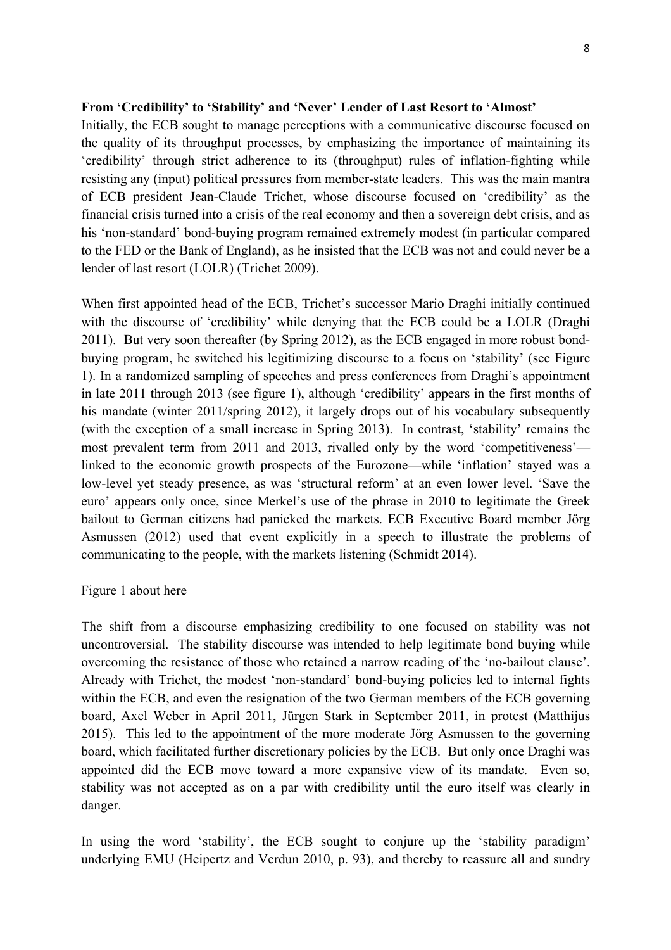#### **From 'Credibility' to 'Stability' and 'Never' Lender of Last Resort to 'Almost'**

Initially, the ECB sought to manage perceptions with a communicative discourse focused on the quality of its throughput processes, by emphasizing the importance of maintaining its 'credibility' through strict adherence to its (throughput) rules of inflation-fighting while resisting any (input) political pressures from member-state leaders. This was the main mantra of ECB president Jean-Claude Trichet, whose discourse focused on 'credibility' as the financial crisis turned into a crisis of the real economy and then a sovereign debt crisis, and as his 'non-standard' bond-buying program remained extremely modest (in particular compared to the FED or the Bank of England), as he insisted that the ECB was not and could never be a lender of last resort (LOLR) (Trichet 2009).

When first appointed head of the ECB, Trichet's successor Mario Draghi initially continued with the discourse of 'credibility' while denying that the ECB could be a LOLR (Draghi 2011). But very soon thereafter (by Spring 2012), as the ECB engaged in more robust bondbuying program, he switched his legitimizing discourse to a focus on 'stability' (see Figure 1). In a randomized sampling of speeches and press conferences from Draghi's appointment in late 2011 through 2013 (see figure 1), although 'credibility' appears in the first months of his mandate (winter 2011/spring 2012), it largely drops out of his vocabulary subsequently (with the exception of a small increase in Spring 2013). In contrast, 'stability' remains the most prevalent term from 2011 and 2013, rivalled only by the word 'competitiveness' linked to the economic growth prospects of the Eurozone—while 'inflation' stayed was a low-level yet steady presence, as was 'structural reform' at an even lower level. 'Save the euro' appears only once, since Merkel's use of the phrase in 2010 to legitimate the Greek bailout to German citizens had panicked the markets. ECB Executive Board member Jörg Asmussen (2012) used that event explicitly in a speech to illustrate the problems of communicating to the people, with the markets listening (Schmidt 2014).

#### Figure 1 about here

The shift from a discourse emphasizing credibility to one focused on stability was not uncontroversial. The stability discourse was intended to help legitimate bond buying while overcoming the resistance of those who retained a narrow reading of the 'no-bailout clause'. Already with Trichet, the modest 'non-standard' bond-buying policies led to internal fights within the ECB, and even the resignation of the two German members of the ECB governing board, Axel Weber in April 2011, Jürgen Stark in September 2011, in protest (Matthijus 2015). This led to the appointment of the more moderate Jörg Asmussen to the governing board, which facilitated further discretionary policies by the ECB. But only once Draghi was appointed did the ECB move toward a more expansive view of its mandate. Even so, stability was not accepted as on a par with credibility until the euro itself was clearly in danger.

In using the word 'stability', the ECB sought to conjure up the 'stability paradigm' underlying EMU (Heipertz and Verdun 2010, p. 93), and thereby to reassure all and sundry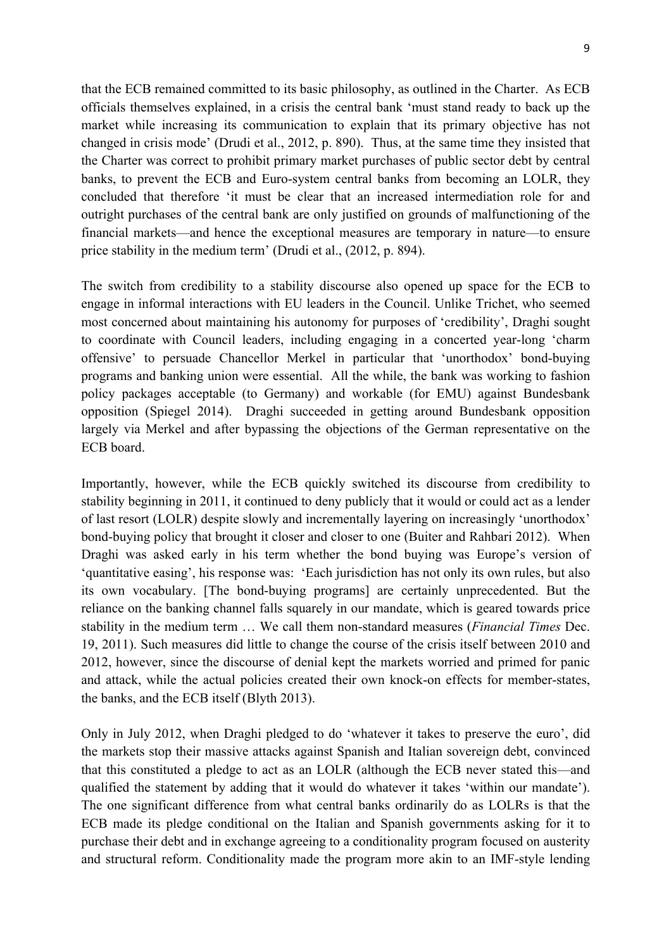that the ECB remained committed to its basic philosophy, as outlined in the Charter. As ECB officials themselves explained, in a crisis the central bank 'must stand ready to back up the market while increasing its communication to explain that its primary objective has not changed in crisis mode' (Drudi et al., 2012, p. 890). Thus, at the same time they insisted that the Charter was correct to prohibit primary market purchases of public sector debt by central banks, to prevent the ECB and Euro-system central banks from becoming an LOLR, they concluded that therefore 'it must be clear that an increased intermediation role for and outright purchases of the central bank are only justified on grounds of malfunctioning of the financial markets—and hence the exceptional measures are temporary in nature—to ensure price stability in the medium term' (Drudi et al., (2012, p. 894).

The switch from credibility to a stability discourse also opened up space for the ECB to engage in informal interactions with EU leaders in the Council. Unlike Trichet, who seemed most concerned about maintaining his autonomy for purposes of 'credibility', Draghi sought to coordinate with Council leaders, including engaging in a concerted year-long 'charm offensive' to persuade Chancellor Merkel in particular that 'unorthodox' bond-buying programs and banking union were essential. All the while, the bank was working to fashion policy packages acceptable (to Germany) and workable (for EMU) against Bundesbank opposition (Spiegel 2014). Draghi succeeded in getting around Bundesbank opposition largely via Merkel and after bypassing the objections of the German representative on the ECB board.

Importantly, however, while the ECB quickly switched its discourse from credibility to stability beginning in 2011, it continued to deny publicly that it would or could act as a lender of last resort (LOLR) despite slowly and incrementally layering on increasingly 'unorthodox' bond-buying policy that brought it closer and closer to one (Buiter and Rahbari 2012). When Draghi was asked early in his term whether the bond buying was Europe's version of 'quantitative easing', his response was: 'Each jurisdiction has not only its own rules, but also its own vocabulary. [The bond-buying programs] are certainly unprecedented. But the reliance on the banking channel falls squarely in our mandate, which is geared towards price stability in the medium term … We call them non-standard measures (*Financial Times* Dec. 19, 2011). Such measures did little to change the course of the crisis itself between 2010 and 2012, however, since the discourse of denial kept the markets worried and primed for panic and attack, while the actual policies created their own knock-on effects for member-states, the banks, and the ECB itself (Blyth 2013).

Only in July 2012, when Draghi pledged to do 'whatever it takes to preserve the euro', did the markets stop their massive attacks against Spanish and Italian sovereign debt, convinced that this constituted a pledge to act as an LOLR (although the ECB never stated this—and qualified the statement by adding that it would do whatever it takes 'within our mandate'). The one significant difference from what central banks ordinarily do as LOLRs is that the ECB made its pledge conditional on the Italian and Spanish governments asking for it to purchase their debt and in exchange agreeing to a conditionality program focused on austerity and structural reform. Conditionality made the program more akin to an IMF-style lending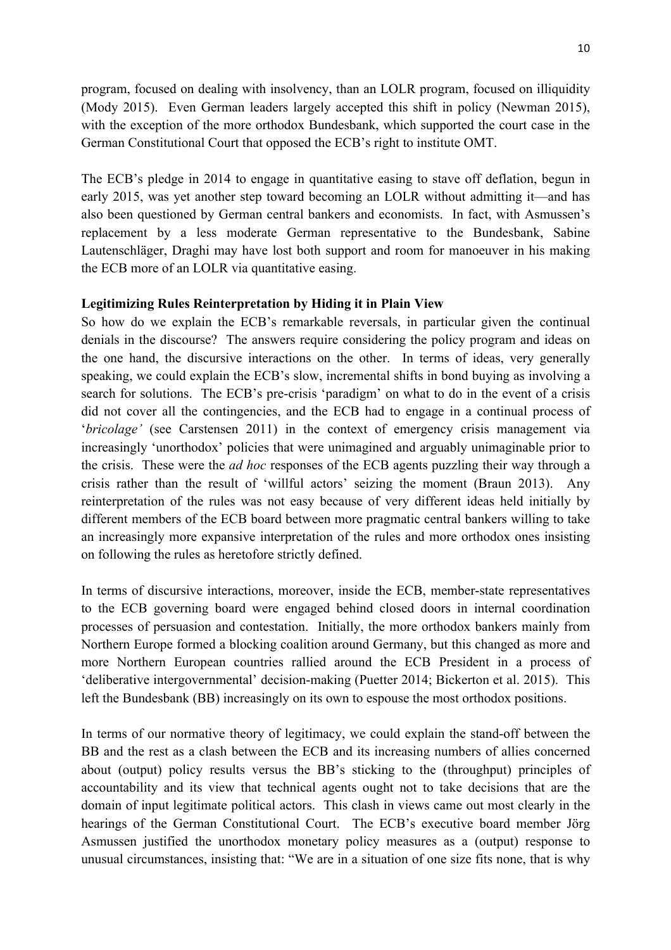program, focused on dealing with insolvency, than an LOLR program, focused on illiquidity (Mody 2015). Even German leaders largely accepted this shift in policy (Newman 2015), with the exception of the more orthodox Bundesbank, which supported the court case in the German Constitutional Court that opposed the ECB's right to institute OMT.

The ECB's pledge in 2014 to engage in quantitative easing to stave off deflation, begun in early 2015, was yet another step toward becoming an LOLR without admitting it—and has also been questioned by German central bankers and economists. In fact, with Asmussen's replacement by a less moderate German representative to the Bundesbank, Sabine Lautenschläger, Draghi may have lost both support and room for manoeuver in his making the ECB more of an LOLR via quantitative easing.

### **Legitimizing Rules Reinterpretation by Hiding it in Plain View**

So how do we explain the ECB's remarkable reversals, in particular given the continual denials in the discourse? The answers require considering the policy program and ideas on the one hand, the discursive interactions on the other. In terms of ideas, very generally speaking, we could explain the ECB's slow, incremental shifts in bond buying as involving a search for solutions. The ECB's pre-crisis 'paradigm' on what to do in the event of a crisis did not cover all the contingencies, and the ECB had to engage in a continual process of '*bricolage'* (see Carstensen 2011) in the context of emergency crisis management via increasingly 'unorthodox' policies that were unimagined and arguably unimaginable prior to the crisis. These were the *ad hoc* responses of the ECB agents puzzling their way through a crisis rather than the result of 'willful actors' seizing the moment (Braun 2013). Any reinterpretation of the rules was not easy because of very different ideas held initially by different members of the ECB board between more pragmatic central bankers willing to take an increasingly more expansive interpretation of the rules and more orthodox ones insisting on following the rules as heretofore strictly defined.

In terms of discursive interactions, moreover, inside the ECB, member-state representatives to the ECB governing board were engaged behind closed doors in internal coordination processes of persuasion and contestation. Initially, the more orthodox bankers mainly from Northern Europe formed a blocking coalition around Germany, but this changed as more and more Northern European countries rallied around the ECB President in a process of 'deliberative intergovernmental' decision-making (Puetter 2014; Bickerton et al. 2015). This left the Bundesbank (BB) increasingly on its own to espouse the most orthodox positions.

In terms of our normative theory of legitimacy, we could explain the stand-off between the BB and the rest as a clash between the ECB and its increasing numbers of allies concerned about (output) policy results versus the BB's sticking to the (throughput) principles of accountability and its view that technical agents ought not to take decisions that are the domain of input legitimate political actors. This clash in views came out most clearly in the hearings of the German Constitutional Court. The ECB's executive board member Jörg Asmussen justified the unorthodox monetary policy measures as a (output) response to unusual circumstances, insisting that: "We are in a situation of one size fits none, that is why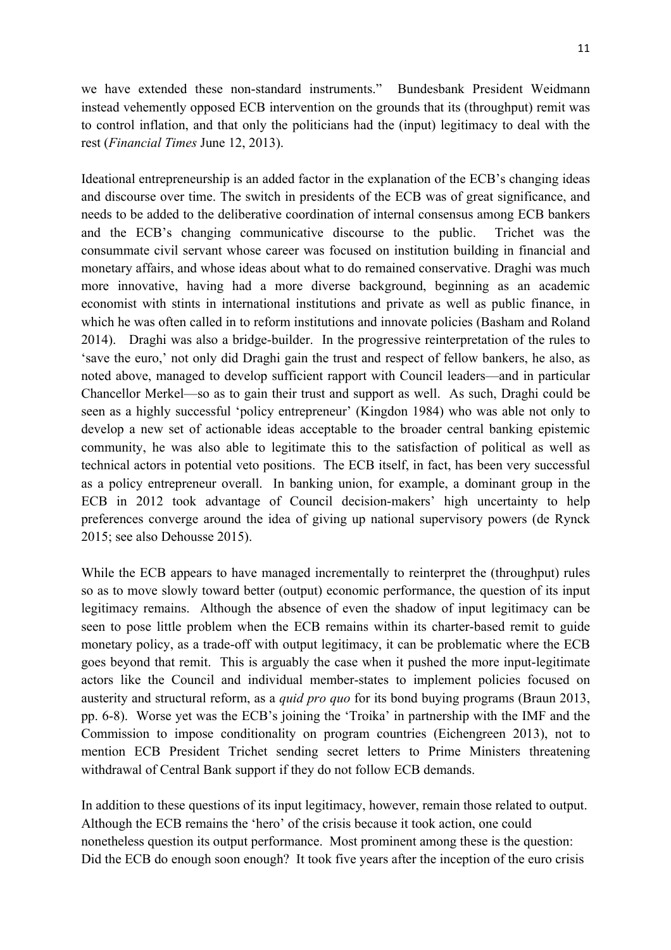we have extended these non-standard instruments." Bundesbank President Weidmann instead vehemently opposed ECB intervention on the grounds that its (throughput) remit was to control inflation, and that only the politicians had the (input) legitimacy to deal with the rest (*Financial Times* June 12, 2013).

Ideational entrepreneurship is an added factor in the explanation of the ECB's changing ideas and discourse over time. The switch in presidents of the ECB was of great significance, and needs to be added to the deliberative coordination of internal consensus among ECB bankers and the ECB's changing communicative discourse to the public. Trichet was the consummate civil servant whose career was focused on institution building in financial and monetary affairs, and whose ideas about what to do remained conservative. Draghi was much more innovative, having had a more diverse background, beginning as an academic economist with stints in international institutions and private as well as public finance, in which he was often called in to reform institutions and innovate policies (Basham and Roland 2014). Draghi was also a bridge-builder. In the progressive reinterpretation of the rules to 'save the euro,' not only did Draghi gain the trust and respect of fellow bankers, he also, as noted above, managed to develop sufficient rapport with Council leaders—and in particular Chancellor Merkel—so as to gain their trust and support as well. As such, Draghi could be seen as a highly successful 'policy entrepreneur' (Kingdon 1984) who was able not only to develop a new set of actionable ideas acceptable to the broader central banking epistemic community, he was also able to legitimate this to the satisfaction of political as well as technical actors in potential veto positions. The ECB itself, in fact, has been very successful as a policy entrepreneur overall. In banking union, for example, a dominant group in the ECB in 2012 took advantage of Council decision-makers' high uncertainty to help preferences converge around the idea of giving up national supervisory powers (de Rynck 2015; see also Dehousse 2015).

While the ECB appears to have managed incrementally to reinterpret the (throughput) rules so as to move slowly toward better (output) economic performance, the question of its input legitimacy remains. Although the absence of even the shadow of input legitimacy can be seen to pose little problem when the ECB remains within its charter-based remit to guide monetary policy, as a trade-off with output legitimacy, it can be problematic where the ECB goes beyond that remit. This is arguably the case when it pushed the more input-legitimate actors like the Council and individual member-states to implement policies focused on austerity and structural reform, as a *quid pro quo* for its bond buying programs (Braun 2013, pp. 6-8). Worse yet was the ECB's joining the 'Troika' in partnership with the IMF and the Commission to impose conditionality on program countries (Eichengreen 2013), not to mention ECB President Trichet sending secret letters to Prime Ministers threatening withdrawal of Central Bank support if they do not follow ECB demands.

In addition to these questions of its input legitimacy, however, remain those related to output. Although the ECB remains the 'hero' of the crisis because it took action, one could nonetheless question its output performance. Most prominent among these is the question: Did the ECB do enough soon enough? It took five years after the inception of the euro crisis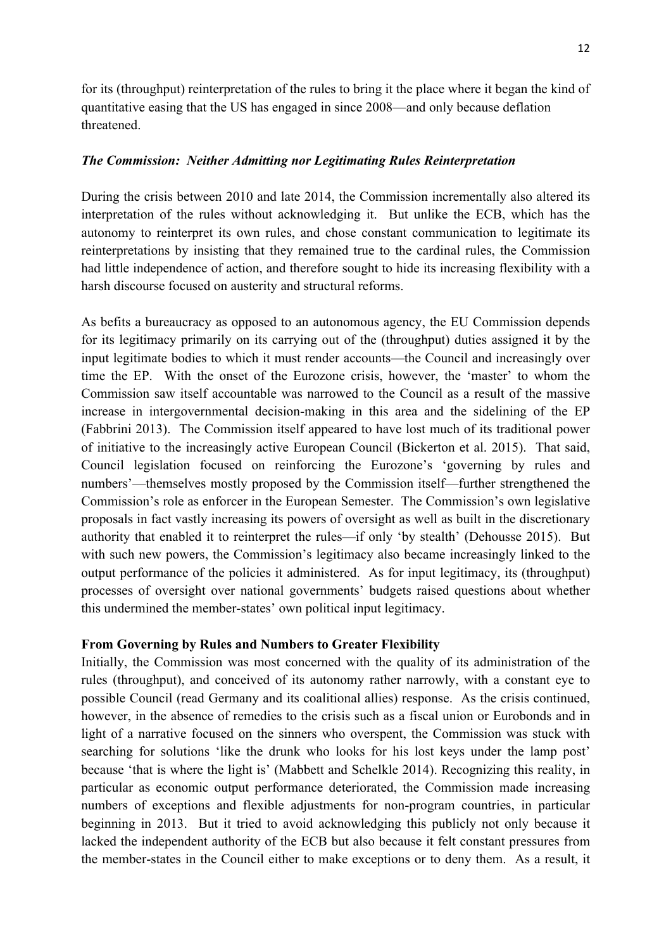for its (throughput) reinterpretation of the rules to bring it the place where it began the kind of quantitative easing that the US has engaged in since 2008—and only because deflation threatened.

### *The Commission: Neither Admitting nor Legitimating Rules Reinterpretation*

During the crisis between 2010 and late 2014, the Commission incrementally also altered its interpretation of the rules without acknowledging it. But unlike the ECB, which has the autonomy to reinterpret its own rules, and chose constant communication to legitimate its reinterpretations by insisting that they remained true to the cardinal rules, the Commission had little independence of action, and therefore sought to hide its increasing flexibility with a harsh discourse focused on austerity and structural reforms.

As befits a bureaucracy as opposed to an autonomous agency, the EU Commission depends for its legitimacy primarily on its carrying out of the (throughput) duties assigned it by the input legitimate bodies to which it must render accounts—the Council and increasingly over time the EP. With the onset of the Eurozone crisis, however, the 'master' to whom the Commission saw itself accountable was narrowed to the Council as a result of the massive increase in intergovernmental decision-making in this area and the sidelining of the EP (Fabbrini 2013). The Commission itself appeared to have lost much of its traditional power of initiative to the increasingly active European Council (Bickerton et al. 2015). That said, Council legislation focused on reinforcing the Eurozone's 'governing by rules and numbers'—themselves mostly proposed by the Commission itself—further strengthened the Commission's role as enforcer in the European Semester. The Commission's own legislative proposals in fact vastly increasing its powers of oversight as well as built in the discretionary authority that enabled it to reinterpret the rules—if only 'by stealth' (Dehousse 2015). But with such new powers, the Commission's legitimacy also became increasingly linked to the output performance of the policies it administered. As for input legitimacy, its (throughput) processes of oversight over national governments' budgets raised questions about whether this undermined the member-states' own political input legitimacy.

### **From Governing by Rules and Numbers to Greater Flexibility**

Initially, the Commission was most concerned with the quality of its administration of the rules (throughput), and conceived of its autonomy rather narrowly, with a constant eye to possible Council (read Germany and its coalitional allies) response. As the crisis continued, however, in the absence of remedies to the crisis such as a fiscal union or Eurobonds and in light of a narrative focused on the sinners who overspent, the Commission was stuck with searching for solutions 'like the drunk who looks for his lost keys under the lamp post' because 'that is where the light is' (Mabbett and Schelkle 2014). Recognizing this reality, in particular as economic output performance deteriorated, the Commission made increasing numbers of exceptions and flexible adjustments for non-program countries, in particular beginning in 2013. But it tried to avoid acknowledging this publicly not only because it lacked the independent authority of the ECB but also because it felt constant pressures from the member-states in the Council either to make exceptions or to deny them. As a result, it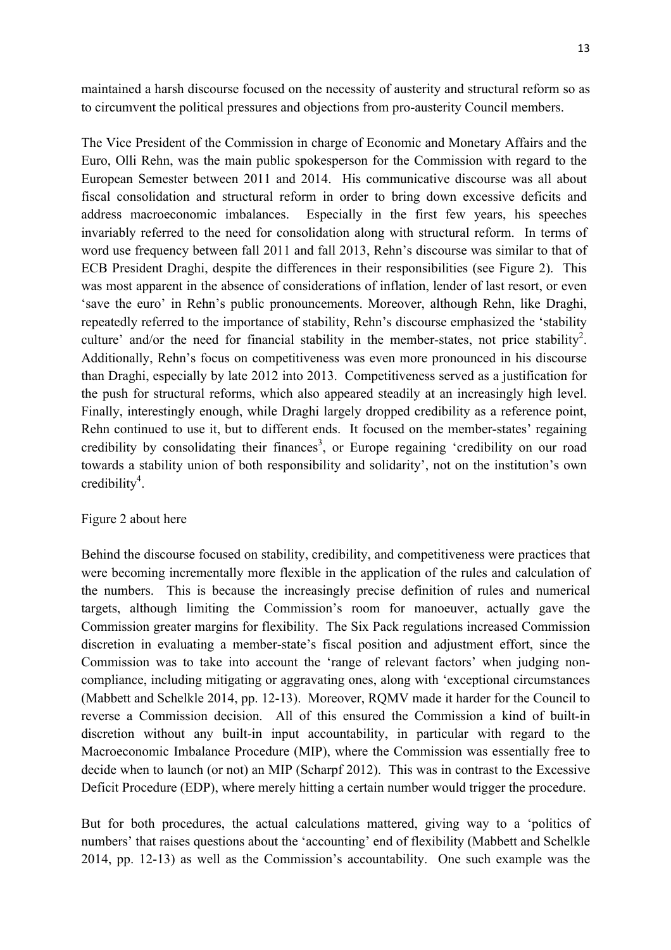maintained a harsh discourse focused on the necessity of austerity and structural reform so as to circumvent the political pressures and objections from pro-austerity Council members.

The Vice President of the Commission in charge of Economic and Monetary Affairs and the Euro, Olli Rehn, was the main public spokesperson for the Commission with regard to the European Semester between 2011 and 2014. His communicative discourse was all about fiscal consolidation and structural reform in order to bring down excessive deficits and address macroeconomic imbalances. Especially in the first few years, his speeches invariably referred to the need for consolidation along with structural reform. In terms of word use frequency between fall 2011 and fall 2013, Rehn's discourse was similar to that of ECB President Draghi, despite the differences in their responsibilities (see Figure 2). This was most apparent in the absence of considerations of inflation, lender of last resort, or even 'save the euro' in Rehn's public pronouncements. Moreover, although Rehn, like Draghi, repeatedly referred to the importance of stability, Rehn's discourse emphasized the 'stability culture' and/or the need for financial stability in the member-states, not price stability<sup>2</sup>. Additionally, Rehn's focus on competitiveness was even more pronounced in his discourse than Draghi, especially by late 2012 into 2013. Competitiveness served as a justification for the push for structural reforms, which also appeared steadily at an increasingly high level. Finally, interestingly enough, while Draghi largely dropped credibility as a reference point, Rehn continued to use it, but to different ends. It focused on the member-states' regaining credibility by consolidating their finances<sup>3</sup>, or Europe regaining 'credibility on our road towards a stability union of both responsibility and solidarity', not on the institution's own  $\text{credity}^4$ .

#### Figure 2 about here

Behind the discourse focused on stability, credibility, and competitiveness were practices that were becoming incrementally more flexible in the application of the rules and calculation of the numbers. This is because the increasingly precise definition of rules and numerical targets, although limiting the Commission's room for manoeuver, actually gave the Commission greater margins for flexibility. The Six Pack regulations increased Commission discretion in evaluating a member-state's fiscal position and adjustment effort, since the Commission was to take into account the 'range of relevant factors' when judging noncompliance, including mitigating or aggravating ones, along with 'exceptional circumstances (Mabbett and Schelkle 2014, pp. 12-13). Moreover, RQMV made it harder for the Council to reverse a Commission decision. All of this ensured the Commission a kind of built-in discretion without any built-in input accountability, in particular with regard to the Macroeconomic Imbalance Procedure (MIP), where the Commission was essentially free to decide when to launch (or not) an MIP (Scharpf 2012). This was in contrast to the Excessive Deficit Procedure (EDP), where merely hitting a certain number would trigger the procedure.

But for both procedures, the actual calculations mattered, giving way to a 'politics of numbers' that raises questions about the 'accounting' end of flexibility (Mabbett and Schelkle 2014, pp. 12-13) as well as the Commission's accountability. One such example was the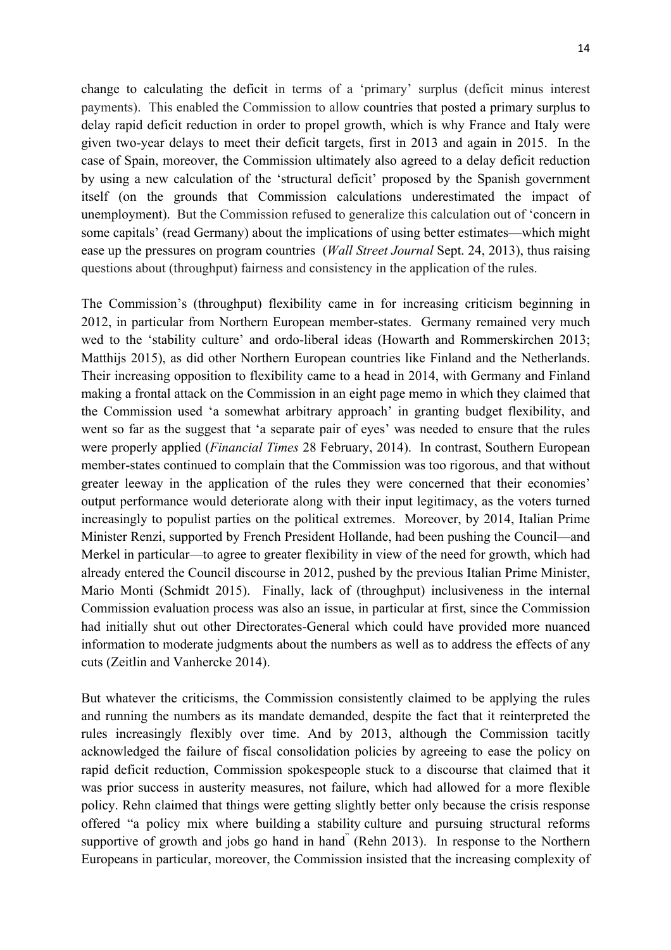change to calculating the deficit in terms of a 'primary' surplus (deficit minus interest payments). This enabled the Commission to allow countries that posted a primary surplus to delay rapid deficit reduction in order to propel growth, which is why France and Italy were given two-year delays to meet their deficit targets, first in 2013 and again in 2015. In the case of Spain, moreover, the Commission ultimately also agreed to a delay deficit reduction by using a new calculation of the 'structural deficit' proposed by the Spanish government itself (on the grounds that Commission calculations underestimated the impact of unemployment). But the Commission refused to generalize this calculation out of 'concern in some capitals' (read Germany) about the implications of using better estimates—which might ease up the pressures on program countries (*Wall Street Journal* Sept. 24, 2013), thus raising questions about (throughput) fairness and consistency in the application of the rules.

The Commission's (throughput) flexibility came in for increasing criticism beginning in 2012, in particular from Northern European member-states. Germany remained very much wed to the 'stability culture' and ordo-liberal ideas (Howarth and Rommerskirchen 2013; Matthijs 2015), as did other Northern European countries like Finland and the Netherlands. Their increasing opposition to flexibility came to a head in 2014, with Germany and Finland making a frontal attack on the Commission in an eight page memo in which they claimed that the Commission used 'a somewhat arbitrary approach' in granting budget flexibility, and went so far as the suggest that 'a separate pair of eyes' was needed to ensure that the rules were properly applied (*Financial Times* 28 February, 2014). In contrast, Southern European member-states continued to complain that the Commission was too rigorous, and that without greater leeway in the application of the rules they were concerned that their economies' output performance would deteriorate along with their input legitimacy, as the voters turned increasingly to populist parties on the political extremes. Moreover, by 2014, Italian Prime Minister Renzi, supported by French President Hollande, had been pushing the Council—and Merkel in particular—to agree to greater flexibility in view of the need for growth, which had already entered the Council discourse in 2012, pushed by the previous Italian Prime Minister, Mario Monti (Schmidt 2015). Finally, lack of (throughput) inclusiveness in the internal Commission evaluation process was also an issue, in particular at first, since the Commission had initially shut out other Directorates-General which could have provided more nuanced information to moderate judgments about the numbers as well as to address the effects of any cuts (Zeitlin and Vanhercke 2014).

But whatever the criticisms, the Commission consistently claimed to be applying the rules and running the numbers as its mandate demanded, despite the fact that it reinterpreted the rules increasingly flexibly over time. And by 2013, although the Commission tacitly acknowledged the failure of fiscal consolidation policies by agreeing to ease the policy on rapid deficit reduction, Commission spokespeople stuck to a discourse that claimed that it was prior success in austerity measures, not failure, which had allowed for a more flexible policy. Rehn claimed that things were getting slightly better only because the crisis response offered "a policy mix where building a stability culture and pursuing structural reforms supportive of growth and jobs go hand in hand" (Rehn 2013). In response to the Northern Europeans in particular, moreover, the Commission insisted that the increasing complexity of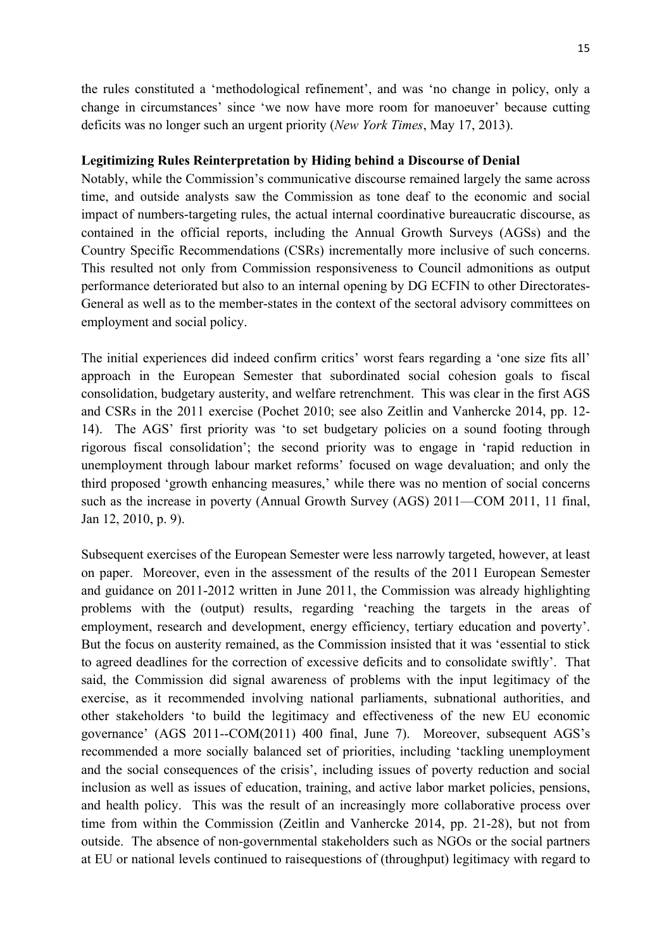the rules constituted a 'methodological refinement', and was 'no change in policy, only a change in circumstances' since 'we now have more room for manoeuver' because cutting deficits was no longer such an urgent priority (*New York Times*, May 17, 2013).

#### **Legitimizing Rules Reinterpretation by Hiding behind a Discourse of Denial**

Notably, while the Commission's communicative discourse remained largely the same across time, and outside analysts saw the Commission as tone deaf to the economic and social impact of numbers-targeting rules, the actual internal coordinative bureaucratic discourse, as contained in the official reports, including the Annual Growth Surveys (AGSs) and the Country Specific Recommendations (CSRs) incrementally more inclusive of such concerns. This resulted not only from Commission responsiveness to Council admonitions as output performance deteriorated but also to an internal opening by DG ECFIN to other Directorates-General as well as to the member-states in the context of the sectoral advisory committees on employment and social policy.

The initial experiences did indeed confirm critics' worst fears regarding a 'one size fits all' approach in the European Semester that subordinated social cohesion goals to fiscal consolidation, budgetary austerity, and welfare retrenchment. This was clear in the first AGS and CSRs in the 2011 exercise (Pochet 2010; see also Zeitlin and Vanhercke 2014, pp. 12- 14). The AGS' first priority was 'to set budgetary policies on a sound footing through rigorous fiscal consolidation'; the second priority was to engage in 'rapid reduction in unemployment through labour market reforms' focused on wage devaluation; and only the third proposed 'growth enhancing measures,' while there was no mention of social concerns such as the increase in poverty (Annual Growth Survey (AGS) 2011—COM 2011, 11 final, Jan 12, 2010, p. 9).

Subsequent exercises of the European Semester were less narrowly targeted, however, at least on paper. Moreover, even in the assessment of the results of the 2011 European Semester and guidance on 2011-2012 written in June 2011, the Commission was already highlighting problems with the (output) results, regarding 'reaching the targets in the areas of employment, research and development, energy efficiency, tertiary education and poverty'. But the focus on austerity remained, as the Commission insisted that it was 'essential to stick to agreed deadlines for the correction of excessive deficits and to consolidate swiftly'. That said, the Commission did signal awareness of problems with the input legitimacy of the exercise, as it recommended involving national parliaments, subnational authorities, and other stakeholders 'to build the legitimacy and effectiveness of the new EU economic governance' (AGS 2011--COM(2011) 400 final, June 7). Moreover, subsequent AGS's recommended a more socially balanced set of priorities, including 'tackling unemployment and the social consequences of the crisis', including issues of poverty reduction and social inclusion as well as issues of education, training, and active labor market policies, pensions, and health policy. This was the result of an increasingly more collaborative process over time from within the Commission (Zeitlin and Vanhercke 2014, pp. 21-28), but not from outside. The absence of non-governmental stakeholders such as NGOs or the social partners at EU or national levels continued to raisequestions of (throughput) legitimacy with regard to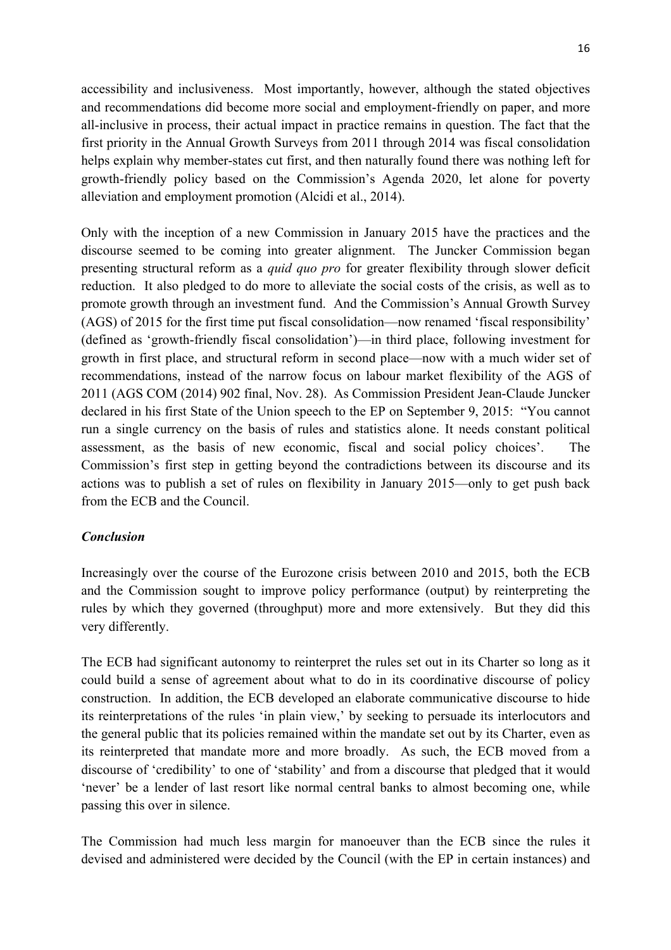accessibility and inclusiveness. Most importantly, however, although the stated objectives and recommendations did become more social and employment-friendly on paper, and more all-inclusive in process, their actual impact in practice remains in question. The fact that the first priority in the Annual Growth Surveys from 2011 through 2014 was fiscal consolidation helps explain why member-states cut first, and then naturally found there was nothing left for growth-friendly policy based on the Commission's Agenda 2020, let alone for poverty alleviation and employment promotion (Alcidi et al., 2014).

Only with the inception of a new Commission in January 2015 have the practices and the discourse seemed to be coming into greater alignment. The Juncker Commission began presenting structural reform as a *quid quo pro* for greater flexibility through slower deficit reduction. It also pledged to do more to alleviate the social costs of the crisis, as well as to promote growth through an investment fund. And the Commission's Annual Growth Survey (AGS) of 2015 for the first time put fiscal consolidation—now renamed 'fiscal responsibility' (defined as 'growth-friendly fiscal consolidation')—in third place, following investment for growth in first place, and structural reform in second place—now with a much wider set of recommendations, instead of the narrow focus on labour market flexibility of the AGS of 2011 (AGS COM (2014) 902 final, Nov. 28). As Commission President Jean-Claude Juncker declared in his first State of the Union speech to the EP on September 9, 2015: "You cannot run a single currency on the basis of rules and statistics alone. It needs constant political assessment, as the basis of new economic, fiscal and social policy choices'. The Commission's first step in getting beyond the contradictions between its discourse and its actions was to publish a set of rules on flexibility in January 2015—only to get push back from the ECB and the Council.

# *Conclusion*

Increasingly over the course of the Eurozone crisis between 2010 and 2015, both the ECB and the Commission sought to improve policy performance (output) by reinterpreting the rules by which they governed (throughput) more and more extensively. But they did this very differently.

The ECB had significant autonomy to reinterpret the rules set out in its Charter so long as it could build a sense of agreement about what to do in its coordinative discourse of policy construction. In addition, the ECB developed an elaborate communicative discourse to hide its reinterpretations of the rules 'in plain view,' by seeking to persuade its interlocutors and the general public that its policies remained within the mandate set out by its Charter, even as its reinterpreted that mandate more and more broadly. As such, the ECB moved from a discourse of 'credibility' to one of 'stability' and from a discourse that pledged that it would 'never' be a lender of last resort like normal central banks to almost becoming one, while passing this over in silence.

The Commission had much less margin for manoeuver than the ECB since the rules it devised and administered were decided by the Council (with the EP in certain instances) and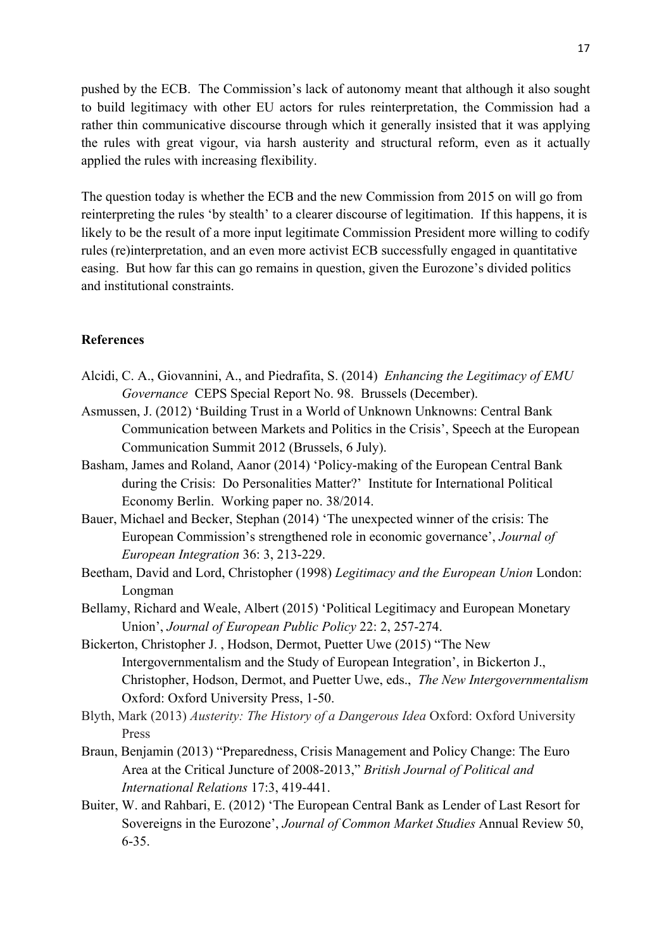pushed by the ECB. The Commission's lack of autonomy meant that although it also sought to build legitimacy with other EU actors for rules reinterpretation, the Commission had a rather thin communicative discourse through which it generally insisted that it was applying the rules with great vigour, via harsh austerity and structural reform, even as it actually applied the rules with increasing flexibility.

The question today is whether the ECB and the new Commission from 2015 on will go from reinterpreting the rules 'by stealth' to a clearer discourse of legitimation. If this happens, it is likely to be the result of a more input legitimate Commission President more willing to codify rules (re)interpretation, and an even more activist ECB successfully engaged in quantitative easing. But how far this can go remains in question, given the Eurozone's divided politics and institutional constraints.

### **References**

- Alcidi, C. A., Giovannini, A., and Piedrafita, S. (2014) *Enhancing the Legitimacy of EMU Governance* CEPS Special Report No. 98. Brussels (December).
- Asmussen, J. (2012) 'Building Trust in a World of Unknown Unknowns: Central Bank Communication between Markets and Politics in the Crisis', Speech at the European Communication Summit 2012 (Brussels, 6 July).
- Basham, James and Roland, Aanor (2014) 'Policy-making of the European Central Bank during the Crisis: Do Personalities Matter?' Institute for International Political Economy Berlin. Working paper no. 38/2014.
- Bauer, Michael and Becker, Stephan (2014) 'The unexpected winner of the crisis: The European Commission's strengthened role in economic governance', *Journal of European Integration* 36: 3, 213-229.
- Beetham, David and Lord, Christopher (1998) *Legitimacy and the European Union* London: Longman
- Bellamy, Richard and Weale, Albert (2015) 'Political Legitimacy and European Monetary Union', *Journal of European Public Policy* 22: 2, 257-274.
- Bickerton, Christopher J. , Hodson, Dermot, Puetter Uwe (2015) "The New Intergovernmentalism and the Study of European Integration', in Bickerton J., Christopher, Hodson, Dermot, and Puetter Uwe, eds., *The New Intergovernmentalism* Oxford: Oxford University Press, 1-50.
- Blyth, Mark (2013) *Austerity: The History of a Dangerous Idea* Oxford: Oxford University Press
- Braun, Benjamin (2013) "Preparedness, Crisis Management and Policy Change: The Euro Area at the Critical Juncture of 2008-2013," *British Journal of Political and International Relations* 17:3, 419-441.
- Buiter, W. and Rahbari, E. (2012) 'The European Central Bank as Lender of Last Resort for Sovereigns in the Eurozone', *Journal of Common Market Studies* Annual Review 50, 6-35.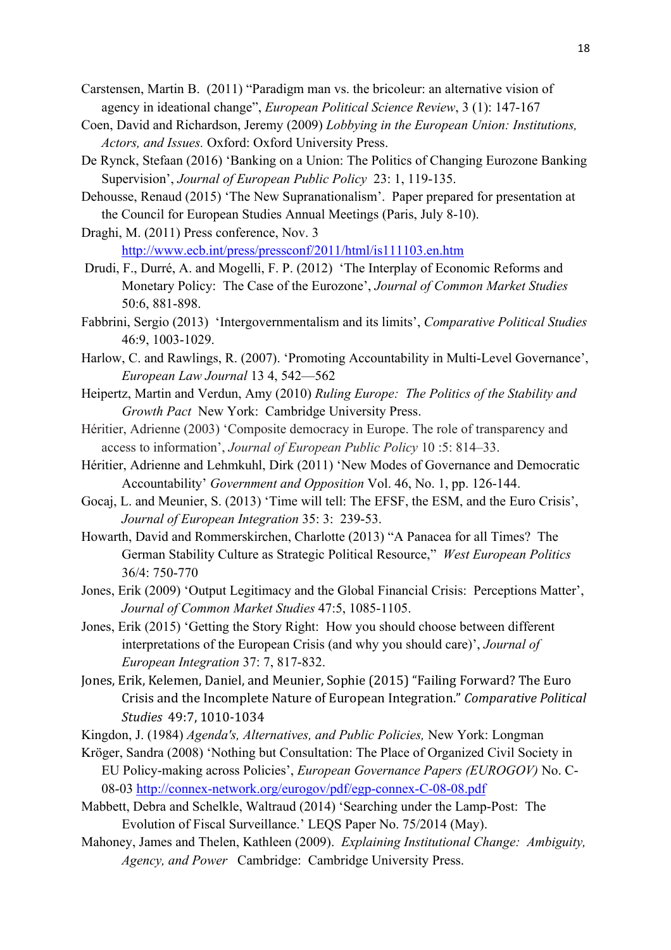Carstensen, Martin B. (2011) "Paradigm man vs. the bricoleur: an alternative vision of agency in ideational change", *European Political Science Review*, 3 (1): 147-167

- Coen, David and Richardson, Jeremy (2009) *Lobbying in the European Union: Institutions, Actors, and Issues.* Oxford: Oxford University Press.
- De Rynck, Stefaan (2016) 'Banking on a Union: The Politics of Changing Eurozone Banking Supervision', *Journal of European Public Policy* 23: 1, 119-135.
- Dehousse, Renaud (2015) 'The New Supranationalism'. Paper prepared for presentation at the Council for European Studies Annual Meetings (Paris, July 8-10).
- Draghi, M. (2011) Press conference, Nov. 3 http://www.ecb.int/press/pressconf/2011/html/is111103.en.htm
- Drudi, F., Durré, A. and Mogelli, F. P. (2012) 'The Interplay of Economic Reforms and Monetary Policy: The Case of the Eurozone', *Journal of Common Market Studies* 50:6, 881-898.
- Fabbrini, Sergio (2013) 'Intergovernmentalism and its limits', *Comparative Political Studies* 46:9, 1003-1029.
- Harlow, C. and Rawlings, R. (2007). 'Promoting Accountability in Multi-Level Governance', *European Law Journal* 13 4, 542—562
- Heipertz, Martin and Verdun, Amy (2010) *Ruling Europe: The Politics of the Stability and Growth Pact* New York: Cambridge University Press.
- Héritier, Adrienne (2003) 'Composite democracy in Europe. The role of transparency and access to information', *Journal of European Public Policy* 10 :5: 814–33.
- Héritier, Adrienne and Lehmkuhl, Dirk (2011) 'New Modes of Governance and Democratic Accountability' *Government and Opposition* Vol. 46, No. 1, pp. 126-144.
- Gocaj, L. and Meunier, S. (2013) 'Time will tell: The EFSF, the ESM, and the Euro Crisis', *Journal of European Integration* 35: 3: 239-53.
- Howarth, David and Rommerskirchen, Charlotte (2013) "A Panacea for all Times? The German Stability Culture as Strategic Political Resource," *West European Politics* 36/4: 750-770
- Jones, Erik (2009) 'Output Legitimacy and the Global Financial Crisis: Perceptions Matter', *Journal of Common Market Studies* 47:5, 1085-1105.
- Jones, Erik (2015) 'Getting the Story Right: How you should choose between different interpretations of the European Crisis (and why you should care)', *Journal of European Integration* 37: 7, 817-832.
- Jones, Erik, Kelemen, Daniel, and Meunier, Sophie (2015) "Failing Forward? The Euro Crisis and the Incomplete Nature of European Integration." Comparative Political *Studies* 49:7, 1010-1034
- Kingdon, J. (1984) *Agenda's, Alternatives, and Public Policies,* New York: Longman
- Kröger, Sandra (2008) 'Nothing but Consultation: The Place of Organized Civil Society in EU Policy-making across Policies', *European Governance Papers (EUROGOV)* No. C-08-03 http://connex-network.org/eurogov/pdf/egp-connex-C-08-08.pdf
- Mabbett, Debra and Schelkle, Waltraud (2014) 'Searching under the Lamp-Post: The Evolution of Fiscal Surveillance.' LEQS Paper No. 75/2014 (May).
- Mahoney, James and Thelen, Kathleen (2009). *Explaining Institutional Change: Ambiguity, Agency, and Power* Cambridge: Cambridge University Press.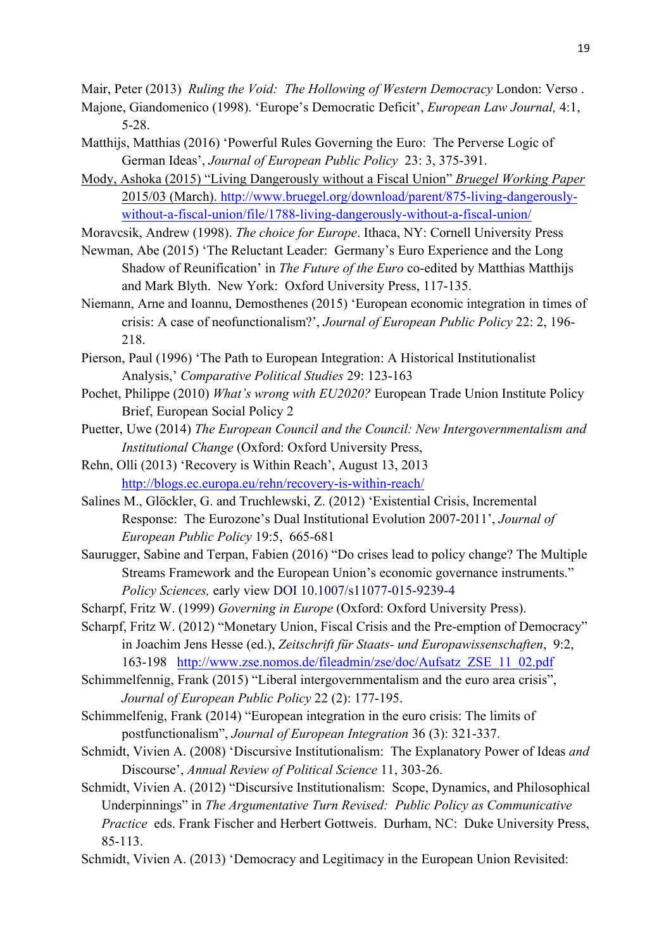Mair, Peter (2013) *Ruling the Void: The Hollowing of Western Democracy* London: Verso .

- Majone, Giandomenico (1998). 'Europe's Democratic Deficit', *European Law Journal,* 4:1, 5-28.
- Matthijs, Matthias (2016) 'Powerful Rules Governing the Euro: The Perverse Logic of German Ideas', *Journal of European Public Policy* 23: 3, 375-391.
- Mody, Ashoka (2015) "Living Dangerously without a Fiscal Union" *Bruegel Working Paper* 2015/03 (March). http://www.bruegel.org/download/parent/875-living-dangerouslywithout-a-fiscal-union/file/1788-living-dangerously-without-a-fiscal-union/

Moravcsik, Andrew (1998). *The choice for Europe*. Ithaca, NY: Cornell University Press

- Newman, Abe (2015) 'The Reluctant Leader: Germany's Euro Experience and the Long Shadow of Reunification' in *The Future of the Euro* co-edited by Matthias Matthijs and Mark Blyth. New York: Oxford University Press, 117-135.
- Niemann, Arne and Ioannu, Demosthenes (2015) 'European economic integration in times of crisis: A case of neofunctionalism?', *Journal of European Public Policy* 22: 2, 196- 218.
- Pierson, Paul (1996) 'The Path to European Integration: A Historical Institutionalist Analysis,' *Comparative Political Studies* 29: 123-163
- Pochet, Philippe (2010) *What's wrong with EU2020?* European Trade Union Institute Policy Brief, European Social Policy 2
- Puetter, Uwe (2014) *The European Council and the Council: New Intergovernmentalism and Institutional Change* (Oxford: Oxford University Press,
- Rehn, Olli (2013) 'Recovery is Within Reach', August 13, 2013 http://blogs.ec.europa.eu/rehn/recovery-is-within-reach/
- Salines M., Glöckler, G. and Truchlewski, Z. (2012) 'Existential Crisis, Incremental Response: The Eurozone's Dual Institutional Evolution 2007-2011', *Journal of European Public Policy* 19:5, 665-681
- Saurugger, Sabine and Terpan, Fabien (2016) "Do crises lead to policy change? The Multiple Streams Framework and the European Union's economic governance instruments." *Policy Sciences,* early view DOI 10.1007/s11077-015-9239-4
- Scharpf, Fritz W. (1999) *Governing in Europe* (Oxford: Oxford University Press).
- Scharpf, Fritz W. (2012) "Monetary Union, Fiscal Crisis and the Pre-emption of Democracy" in Joachim Jens Hesse (ed.), *Zeitschrift für Staats- und Europawissenschaften*, 9:2, 163-198 http://www.zse.nomos.de/fileadmin/zse/doc/Aufsatz\_ZSE\_11\_02.pdf
- Schimmelfennig, Frank (2015) "Liberal intergovernmentalism and the euro area crisis", *Journal of European Public Policy* 22 (2): 177-195.
- Schimmelfenig, Frank (2014) "European integration in the euro crisis: The limits of postfunctionalism", *Journal of European Integration* 36 (3): 321-337.
- Schmidt, Vivien A. (2008) 'Discursive Institutionalism: The Explanatory Power of Ideas *and* Discourse', *Annual Review of Political Science* 11, 303-26.
- Schmidt, Vivien A. (2012) "Discursive Institutionalism: Scope, Dynamics, and Philosophical Underpinnings" in *The Argumentative Turn Revised: Public Policy as Communicative Practice* eds. Frank Fischer and Herbert Gottweis. Durham, NC: Duke University Press, 85-113.
- Schmidt, Vivien A. (2013) 'Democracy and Legitimacy in the European Union Revisited: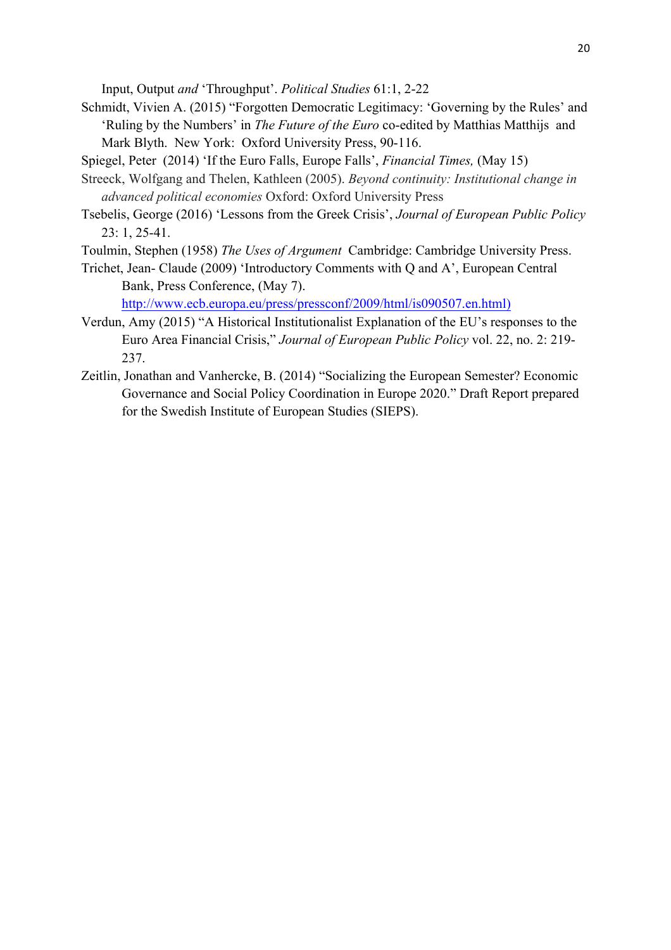Input, Output *and* 'Throughput'. *Political Studies* 61:1, 2-22

- Schmidt, Vivien A. (2015) "Forgotten Democratic Legitimacy: 'Governing by the Rules' and 'Ruling by the Numbers' in *The Future of the Euro* co-edited by Matthias Matthijs and Mark Blyth. New York: Oxford University Press, 90-116.
- Spiegel, Peter (2014) 'If the Euro Falls, Europe Falls', *Financial Times,* (May 15)
- Streeck, Wolfgang and Thelen, Kathleen (2005). *Beyond continuity: Institutional change in advanced political economies* Oxford: Oxford University Press
- Tsebelis, George (2016) 'Lessons from the Greek Crisis', *Journal of European Public Policy* 23: 1, 25-41.
- Toulmin, Stephen (1958) *The Uses of Argument* Cambridge: Cambridge University Press.
- Trichet, Jean- Claude (2009) 'Introductory Comments with Q and A', European Central Bank, Press Conference, (May 7).

http://www.ecb.europa.eu/press/pressconf/2009/html/is090507.en.html)

- Verdun, Amy (2015) "A Historical Institutionalist Explanation of the EU's responses to the Euro Area Financial Crisis," *Journal of European Public Policy* vol. 22, no. 2: 219- 237.
- Zeitlin, Jonathan and Vanhercke, B. (2014) "Socializing the European Semester? Economic Governance and Social Policy Coordination in Europe 2020." Draft Report prepared for the Swedish Institute of European Studies (SIEPS).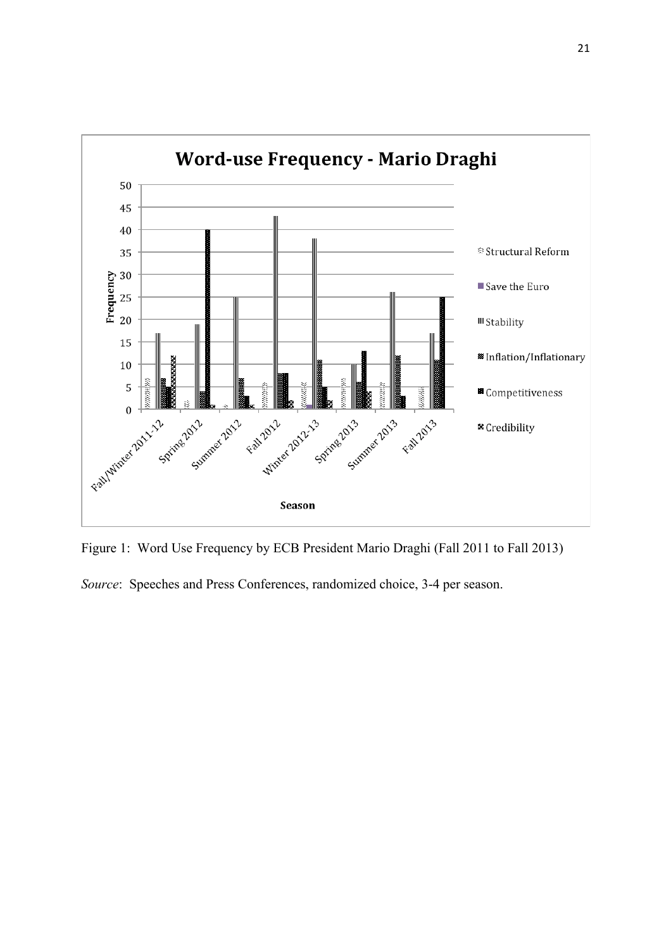

Figure 1: Word Use Frequency by ECB President Mario Draghi (Fall 2011 to Fall 2013)

*Source*: Speeches and Press Conferences, randomized choice, 3-4 per season.